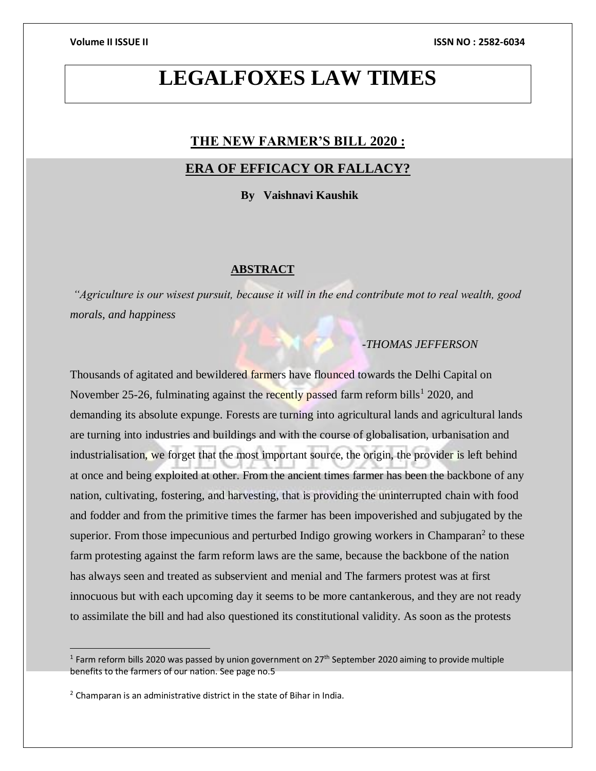# **LEGALFOXES LAW TIMES**

# **THE NEW FARMER'S BILL 2020 :**

# **ERA OF EFFICACY OR FALLACY?**

 **By Vaishnavi Kaushik**

### **ABSTRACT**

*"Agriculture is our wisest pursuit, because it will in the end contribute mot to real wealth, good morals, and happiness*

# *-THOMAS JEFFERSON*

Thousands of agitated and bewildered farmers have flounced towards the Delhi Capital on November 25-26, fulminating against the recently passed farm reform bills<sup>1</sup> 2020, and demanding its absolute expunge. Forests are turning into agricultural lands and agricultural lands are turning into industries and buildings and with the course of globalisation, urbanisation and industrialisation, we forget that the most important source, the origin, the provider is left behind at once and being exploited at other. From the ancient times farmer has been the backbone of any nation, cultivating, fostering, and harvesting, that is providing the uninterrupted chain with food and fodder and from the primitive times the farmer has been impoverished and subjugated by the superior. From those impecunious and perturbed Indigo growing workers in Champaran<sup>2</sup> to these farm protesting against the farm reform laws are the same, because the backbone of the nation has always seen and treated as subservient and menial and The farmers protest was at first innocuous but with each upcoming day it seems to be more cantankerous, and they are not ready to assimilate the bill and had also questioned its constitutional validity. As soon as the protests

<sup>&</sup>lt;sup>1</sup> Farm reform bills 2020 was passed by union government on 27<sup>th</sup> September 2020 aiming to provide multiple benefits to the farmers of our nation. See page no.5

 $2$  Champaran is an administrative district in the state of Bihar in India.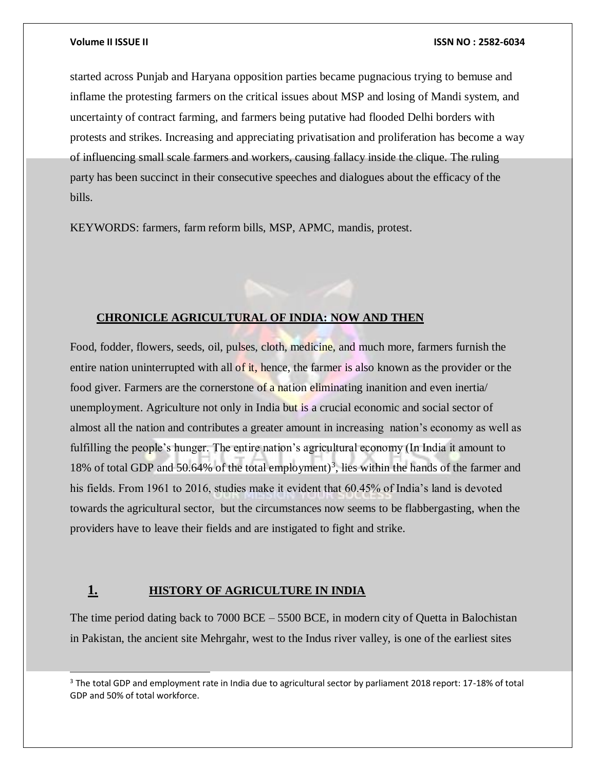l

### **Volume II ISSUE II ISSN NO : 2582-6034**

started across Punjab and Haryana opposition parties became pugnacious trying to bemuse and inflame the protesting farmers on the critical issues about MSP and losing of Mandi system, and uncertainty of contract farming, and farmers being putative had flooded Delhi borders with protests and strikes. Increasing and appreciating privatisation and proliferation has become a way of influencing small scale farmers and workers, causing fallacy inside the clique. The ruling party has been succinct in their consecutive speeches and dialogues about the efficacy of the bills.

KEYWORDS: farmers, farm reform bills, MSP, APMC, mandis, protest.

# **CHRONICLE AGRICULTURAL OF INDIA: NOW AND THEN**

Food, fodder, flowers, seeds, oil, pulses, cloth, medicine, and much more, farmers furnish the entire nation uninterrupted with all of it, hence, the farmer is also known as the provider or the food giver. Farmers are the cornerstone of a nation eliminating inanition and even inertia unemployment. Agriculture not only in India but is a crucial economic and social sector of almost all the nation and contributes a greater amount in increasing nation's economy as well as fulfilling the people's hunger. The entire nation's agricultural economy (In India it amount to 18% of total GDP and 50.64% of the total employment)<sup>3</sup>, lies within the hands of the farmer and his fields. From 1961 to 2016, studies make it evident that 60.45% of India's land is devoted towards the agricultural sector, but the circumstances now seems to be flabbergasting, when the providers have to leave their fields and are instigated to fight and strike.

# **1. HISTORY OF AGRICULTURE IN INDIA**

The time period dating back to 7000 BCE – 5500 BCE, in modern city of Quetta in Balochistan in Pakistan, the ancient site Mehrgahr, west to the Indus river valley, is one of the earliest sites

<sup>&</sup>lt;sup>3</sup> The total GDP and employment rate in India due to agricultural sector by parliament 2018 report: 17-18% of total GDP and 50% of total workforce.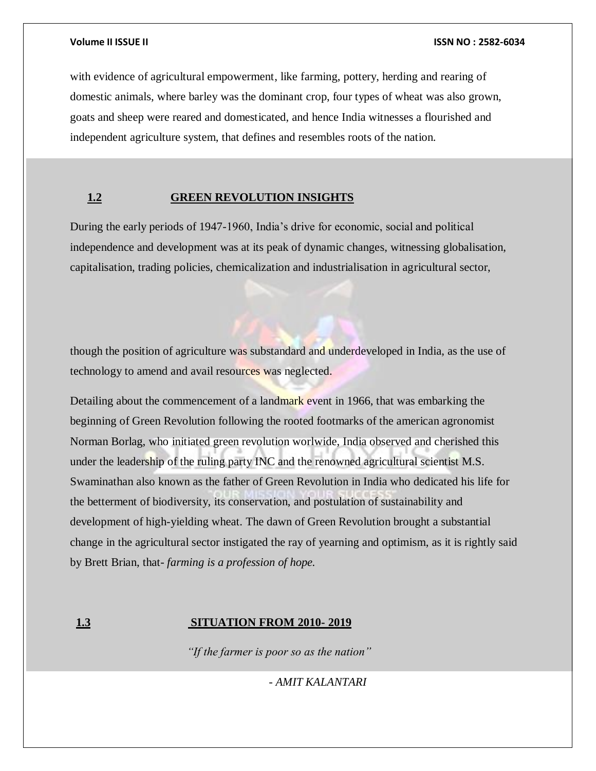with evidence of agricultural empowerment, like farming, pottery, herding and rearing of domestic animals, where barley was the dominant crop, four types of wheat was also grown, goats and sheep were reared and domesticated, and hence India witnesses a flourished and independent agriculture system, that defines and resembles roots of the nation.

# **1.2 GREEN REVOLUTION INSIGHTS**

During the early periods of 1947-1960, India's drive for economic, social and political independence and development was at its peak of dynamic changes, witnessing globalisation, capitalisation, trading policies, chemicalization and industrialisation in agricultural sector,

though the position of agriculture was substandard and underdeveloped in India, as the use of technology to amend and avail resources was neglected.

Detailing about the commencement of a landmark event in 1966, that was embarking the beginning of Green Revolution following the rooted footmarks of the american agronomist Norman Borlag, who initiated green revolution worlwide, India observed and cherished this under the leadership of the ruling party INC and the renowned agricultural scientist M.S. Swaminathan also known as the father of Green Revolution in India who dedicated his life for the betterment of biodiversity, its conservation, and postulation of sustainability and development of high-yielding wheat. The dawn of Green Revolution brought a substantial change in the agricultural sector instigated the ray of yearning and optimism, as it is rightly said by Brett Brian, that- *farming is a profession of hope.* 

# **1.3 SITUATION FROM 2010- 2019**

 *"If the farmer is poor so as the nation"* 

 *- AMIT KALANTARI*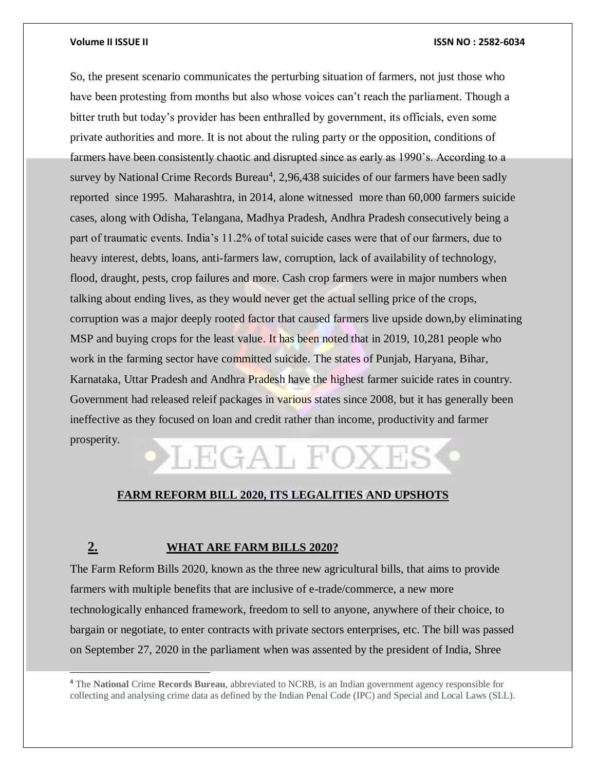l

### **Volume II ISSUE II ISSN NO : 2582-6034**

So, the present scenario communicates the perturbing situation of farmers, not just those who have been protesting from months but also whose voices can't reach the parliament. Though a bitter truth but today's provider has been enthralled by government, its officials, even some private authorities and more. It is not about the ruling party or the opposition, conditions of farmers have been consistently chaotic and disrupted since as early as 1990's. According to a survey by National Crime Records Bureau<sup>4</sup>, 2,96,438 suicides of our farmers have been sadly reported since 1995. Maharashtra, in 2014, alone witnessed more than 60,000 farmers suicide cases, along with Odisha, Telangana, Madhya Pradesh, Andhra Pradesh consecutively being a part of traumatic events. India's 11.2% of total suicide cases were that of our farmers, due to heavy interest, debts, loans, anti-farmers law, corruption, lack of availability of technology, flood, draught, pests, crop failures and more. Cash crop farmers were in major numbers when talking about ending lives, as they would never get the actual selling price of the crops, corruption was a major deeply rooted factor that caused farmers live upside down,by eliminating MSP and buying crops for the least value. It has been noted that in 2019, 10,281 people who work in the farming sector have committed suicide. The states of Punjab, Haryana, Bihar, Karnataka, Uttar Pradesh and Andhra Pradesh have the highest farmer suicide rates in country. Government had released releif packages in various states since 2008, but it has generally been ineffective as they focused on loan and credit rather than income, productivity and farmer prosperity.

# LEGAL FO)

# **FARM REFORM BILL 2020, ITS LEGALITIES AND UPSHOTS**

# **2. WHAT ARE FARM BILLS 2020?**

The Farm Reform Bills 2020, known as the three new agricultural bills, that aims to provide farmers with multiple benefits that are inclusive of e-trade/commerce, a new more technologically enhanced framework, freedom to sell to anyone, anywhere of their choice, to bargain or negotiate, to enter contracts with private sectors enterprises, etc. The bill was passed on September 27, 2020 in the parliament when was assented by the president of India, Shree

<sup>4</sup> The **National** Crime **Records Bureau**, abbreviated to NCRB, is an Indian government agency responsible for collecting and analysing crime data as defined by the Indian Penal Code (IPC) and Special and Local Laws (SLL).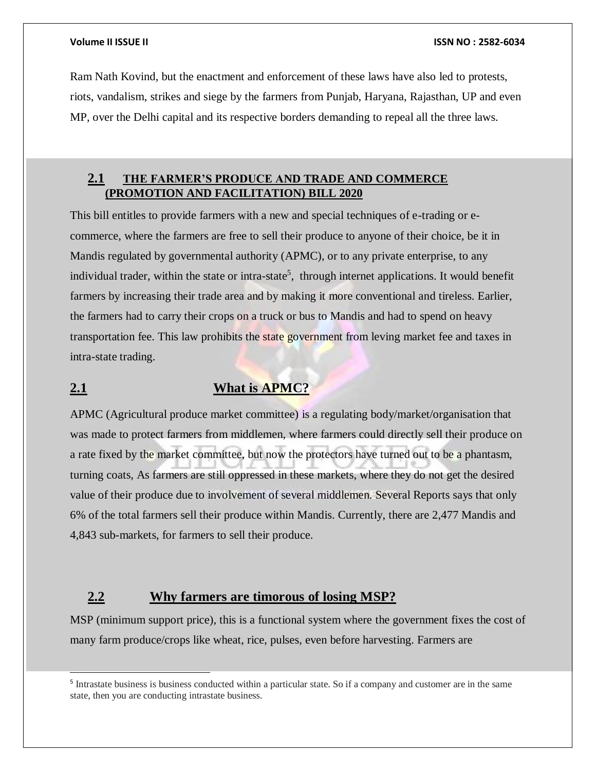l

### **Volume II ISSUE II ISSN NO : 2582-6034**

Ram Nath Kovind, but the enactment and enforcement of these laws have also led to protests, riots, vandalism, strikes and siege by the farmers from Punjab, Haryana, Rajasthan, UP and even MP, over the Delhi capital and its respective borders demanding to repeal all the three laws.

# **2.1 THE FARMER'S PRODUCE AND TRADE AND COMMERCE (PROMOTION AND FACILITATION) BILL 2020**

This bill entitles to provide farmers with a new and special techniques of e-trading or ecommerce, where the farmers are free to sell their produce to anyone of their choice, be it in Mandis regulated by governmental authority (APMC), or to any private enterprise, to any individual trader, within the state or intra-state<sup>5</sup>, through internet applications. It would benefit farmers by increasing their trade area and by making it more conventional and tireless. Earlier, the farmers had to carry their crops on a truck or bus to Mandis and had to spend on heavy transportation fee. This law prohibits the state government from leving market fee and taxes in intra-state trading.

# **2.1 What is APMC?**

APMC (Agricultural produce market committee) is a regulating body/market/organisation that was made to protect farmers from middlemen, where farmers could directly sell their produce on a rate fixed by the market committee, but now the protectors have turned out to be a phantasm, turning coats, As farmers are still oppressed in these markets, where they do not get the desired value of their produce due to involvement of several middlemen. Several Reports says that only 6% of the total farmers sell their produce within Mandis. Currently, there are 2,477 Mandis and 4,843 sub-markets, for farmers to sell their produce.

# **2.2 Why farmers are timorous of losing MSP?**

MSP (minimum support price), this is a functional system where the government fixes the cost of many farm produce/crops like wheat, rice, pulses, even before harvesting. Farmers are

<sup>&</sup>lt;sup>5</sup> Intrastate business is business conducted within a particular state. So if a company and customer are in the same state, then you are conducting intrastate business.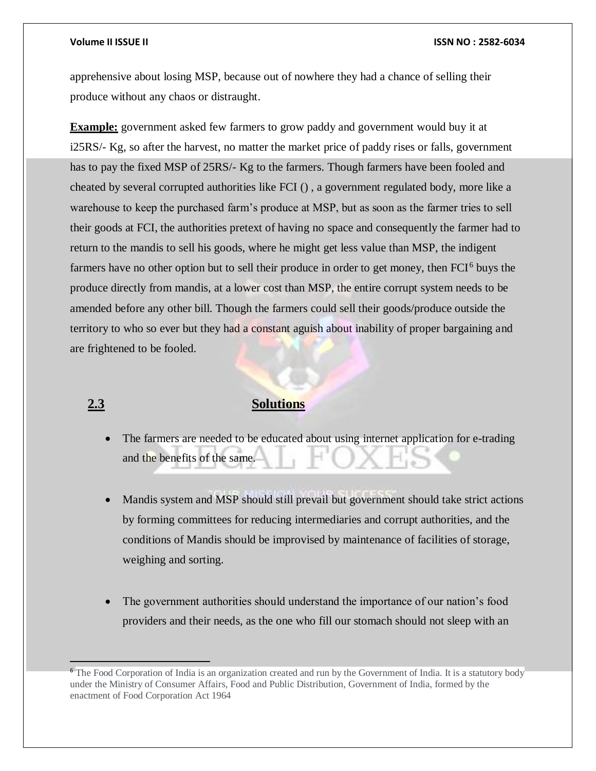### **Volume II ISSUE II ISSN NO : 2582-6034**

apprehensive about losing MSP, because out of nowhere they had a chance of selling their produce without any chaos or distraught.

**Example:** government asked few farmers to grow paddy and government would buy it at i25RS/- Kg, so after the harvest, no matter the market price of paddy rises or falls, government has to pay the fixed MSP of 25RS/- Kg to the farmers. Though farmers have been fooled and cheated by several corrupted authorities like FCI () , a government regulated body, more like a warehouse to keep the purchased farm's produce at MSP, but as soon as the farmer tries to sell their goods at FCI, the authorities pretext of having no space and consequently the farmer had to return to the mandis to sell his goods, where he might get less value than MSP, the indigent farmers have no other option but to sell their produce in order to get money, then FCI<sup>6</sup> buys the produce directly from mandis, at a lower cost than MSP, the entire corrupt system needs to be amended before any other bill. Though the farmers could sell their goods/produce outside the territory to who so ever but they had a constant aguish about inability of proper bargaining and are frightened to be fooled.

# **2.3 Solutions**

- The farmers are needed to be educated about using internet application for e-trading and the benefits of the same.
- Mandis system and MSP should still prevail but government should take strict actions by forming committees for reducing intermediaries and corrupt authorities, and the conditions of Mandis should be improvised by maintenance of facilities of storage, weighing and sorting.
- The government authorities should understand the importance of our nation's food providers and their needs, as the one who fill our stomach should not sleep with an

<sup>&</sup>lt;sup>6</sup> The Food Corporation of India is an organization created and run by the Government of India. It is a statutory body under the Ministry of Consumer Affairs, Food and Public Distribution, Government of India, formed by the enactment of Food Corporation Act 1964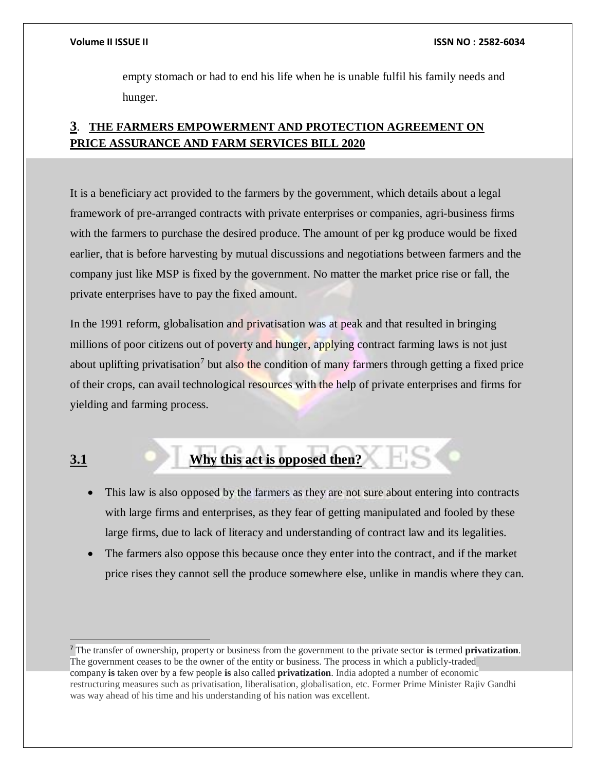empty stomach or had to end his life when he is unable fulfil his family needs and hunger.

# **3**. **THE FARMERS EMPOWERMENT AND PROTECTION AGREEMENT ON PRICE ASSURANCE AND FARM SERVICES BILL 2020**

It is a beneficiary act provided to the farmers by the government, which details about a legal framework of pre-arranged contracts with private enterprises or companies, agri-business firms with the farmers to purchase the desired produce. The amount of per kg produce would be fixed earlier, that is before harvesting by mutual discussions and negotiations between farmers and the company just like MSP is fixed by the government. No matter the market price rise or fall, the private enterprises have to pay the fixed amount.

In the 1991 reform, globalisation and privatisation was at peak and that resulted in bringing millions of poor citizens out of poverty and hunger, applying contract farming laws is not just about uplifting privatisation<sup>7</sup> but also the condition of many farmers through getting a fixed price of their crops, can avail technological resources with the help of private enterprises and firms for yielding and farming process.

 $\overline{a}$ 

# **3.1 Why this act is opposed then?**

- This law is also opposed by the farmers as they are not sure about entering into contracts with large firms and enterprises, as they fear of getting manipulated and fooled by these large firms, due to lack of literacy and understanding of contract law and its legalities.
- The farmers also oppose this because once they enter into the contract, and if the market price rises they cannot sell the produce somewhere else, unlike in mandis where they can.

<sup>7</sup> The transfer of ownership, property or business from the government to the private sector **is** termed **privatization**. The government ceases to be the owner of the entity or business. The process in which a publicly-traded company **is** taken over by a few people **is** also called **privatization**. India adopted a number of economic restructuring measures such as privatisation, liberalisation, globalisation, etc. Former Prime Minister Rajiv Gandhi was way ahead of his time and his understanding of his nation was excellent.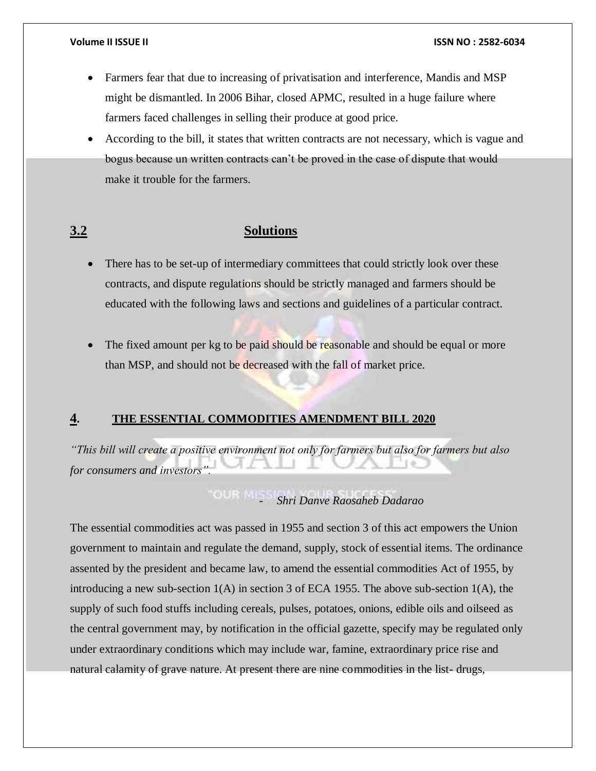- Farmers fear that due to increasing of privatisation and interference, Mandis and MSP might be dismantled. In 2006 Bihar, closed APMC, resulted in a huge failure where farmers faced challenges in selling their produce at good price.
- According to the bill, it states that written contracts are not necessary, which is vague and bogus because un written contracts can't be proved in the case of dispute that would make it trouble for the farmers.

# **3.2 Solutions**

- There has to be set-up of intermediary committees that could strictly look over these contracts, and dispute regulations should be strictly managed and farmers should be educated with the following laws and sections and guidelines of a particular contract.
- The fixed amount per kg to be paid should be reasonable and should be equal or more than MSP, and should not be decreased with the fall of market price.

# **4. THE ESSENTIAL COMMODITIES AMENDMENT BILL 2020**

*"This bill will create a positive environment not only for farmers but also for farmers but also for consumers and investors".*

- *Shri Danve Raosaheb Dadarao*

The essential commodities act was passed in 1955 and section 3 of this act empowers the Union government to maintain and regulate the demand, supply, stock of essential items. The ordinance assented by the president and became law, to amend the essential commodities Act of 1955, by introducing a new sub-section 1(A) in section 3 of ECA 1955. The above sub-section 1(A), the supply of such food stuffs including cereals, pulses, potatoes, onions, edible oils and oilseed as the central government may, by notification in the official gazette, specify may be regulated only under extraordinary conditions which may include war, famine, extraordinary price rise and natural calamity of grave nature. At present there are nine commodities in the list- drugs,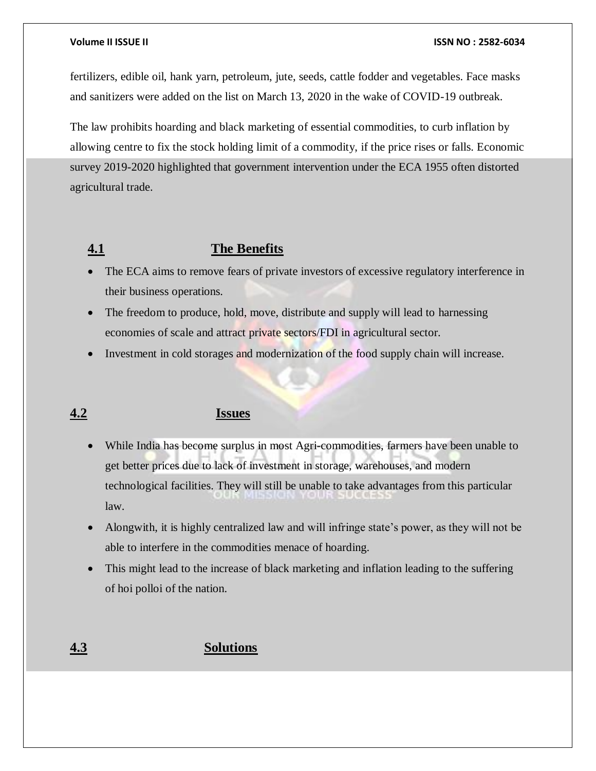fertilizers, edible oil, hank yarn, petroleum, jute, seeds, cattle fodder and vegetables. Face masks and sanitizers were added on the list on March 13, 2020 in the wake of COVID-19 outbreak.

The law prohibits hoarding and black marketing of essential commodities, to curb inflation by allowing centre to fix the stock holding limit of a commodity, if the price rises or falls. Economic survey 2019-2020 highlighted that government intervention under the ECA 1955 often distorted agricultural trade.

# **4.1 The Benefits**

- The ECA aims to remove fears of private investors of excessive regulatory interference in their business operations.
- The freedom to produce, hold, move, distribute and supply will lead to harnessing economies of scale and attract private sectors/FDI in agricultural sector.
- Investment in cold storages and modernization of the food supply chain will increase.

# **4.2 Issues**

- While India has become surplus in most Agri-commodities, farmers have been unable to get better prices due to lack of investment in storage, warehouses, and modern technological facilities. They will still be unable to take advantages from this particular law.
- Alongwith, it is highly centralized law and will infringe state's power, as they will not be able to interfere in the commodities menace of hoarding.
- This might lead to the increase of black marketing and inflation leading to the suffering of hoi polloi of the nation.

# **4.3 Solutions**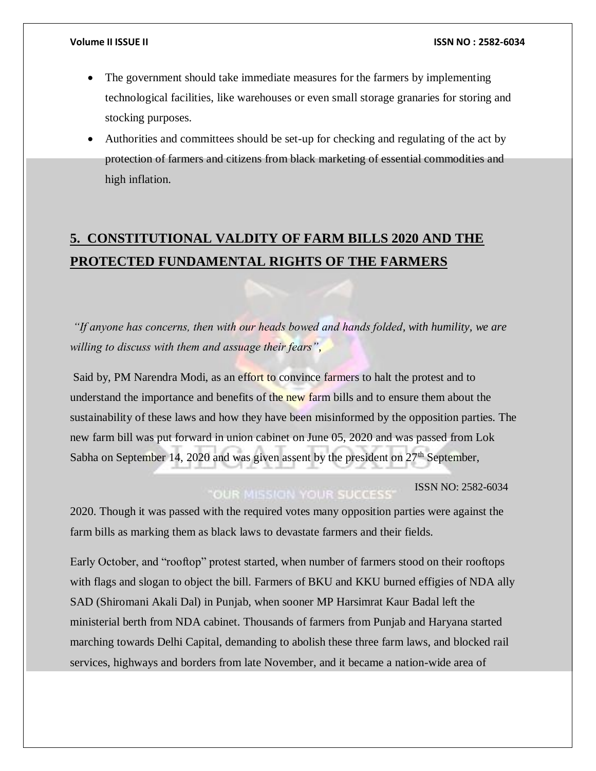- The government should take immediate measures for the farmers by implementing technological facilities, like warehouses or even small storage granaries for storing and stocking purposes.
- Authorities and committees should be set-up for checking and regulating of the act by protection of farmers and citizens from black marketing of essential commodities and high inflation.

# **5. CONSTITUTIONAL VALDITY OF FARM BILLS 2020 AND THE PROTECTED FUNDAMENTAL RIGHTS OF THE FARMERS**

*"If anyone has concerns, then with our heads bowed and hands folded, with humility, we are willing to discuss with them and assuage their fears"*,

Said by, PM Narendra Modi, as an effort to convince farmers to halt the protest and to understand the importance and benefits of the new farm bills and to ensure them about the sustainability of these laws and how they have been misinformed by the opposition parties. The new farm bill was put forward in union cabinet on June 05, 2020 and was passed from Lok Sabha on September 14, 2020 and was given assent by the president on  $27<sup>th</sup>$  September,

# **ISSN NO: 2582-6034**

2020. Though it was passed with the required votes many opposition parties were against the farm bills as marking them as black laws to devastate farmers and their fields.

Early October, and "rooftop" protest started, when number of farmers stood on their rooftops with flags and slogan to object the bill. Farmers of BKU and KKU burned effigies of NDA ally SAD (Shiromani Akali Dal) in Punjab, when sooner MP Harsimrat Kaur Badal left the ministerial berth from NDA cabinet. Thousands of farmers from Punjab and Haryana started marching towards Delhi Capital, demanding to abolish these three farm laws, and blocked rail services, highways and borders from late November, and it became a nation-wide area of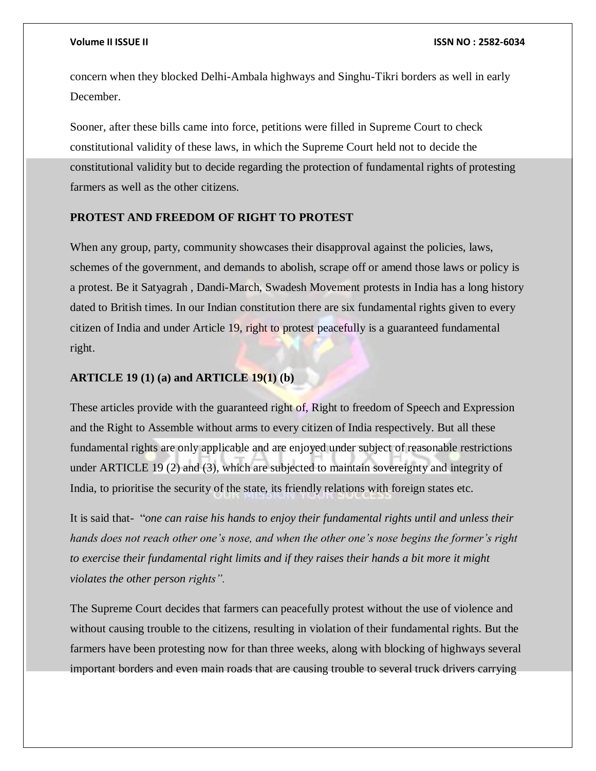concern when they blocked Delhi-Ambala highways and Singhu-Tikri borders as well in early December.

Sooner, after these bills came into force, petitions were filled in Supreme Court to check constitutional validity of these laws, in which the Supreme Court held not to decide the constitutional validity but to decide regarding the protection of fundamental rights of protesting farmers as well as the other citizens.

# **PROTEST AND FREEDOM OF RIGHT TO PROTEST**

When any group, party, community showcases their disapproval against the policies, laws, schemes of the government, and demands to abolish, scrape off or amend those laws or policy is a protest. Be it Satyagrah , Dandi-March, Swadesh Movement protests in India has a long history dated to British times. In our Indian constitution there are six fundamental rights given to every citizen of India and under Article 19, right to protest peacefully is a guaranteed fundamental right.

# **ARTICLE 19 (1) (a) and ARTICLE 19(1) (b)**

These articles provide with the guaranteed right of, Right to freedom of Speech and Expression and the Right to Assemble without arms to every citizen of India respectively. But all these fundamental rights are only applicable and are enjoyed under subject of reasonable restrictions under ARTICLE 19 (2) and (3), which are subjected to maintain sovereignty and integrity of India, to prioritise the security of the state, its friendly relations with foreign states etc.

It is said that- "*one can raise his hands to enjoy their fundamental rights until and unless their hands does not reach other one's nose, and when the other one's nose begins the former's right to exercise their fundamental right limits and if they raises their hands a bit more it might violates the other person rights".*

The Supreme Court decides that farmers can peacefully protest without the use of violence and without causing trouble to the citizens, resulting in violation of their fundamental rights. But the farmers have been protesting now for than three weeks, along with blocking of highways several important borders and even main roads that are causing trouble to several truck drivers carrying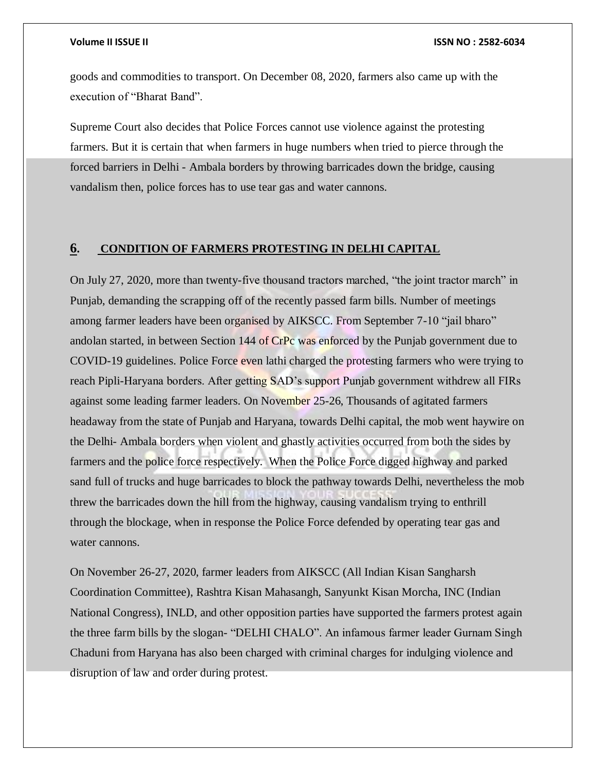goods and commodities to transport. On December 08, 2020, farmers also came up with the execution of "Bharat Band".

Supreme Court also decides that Police Forces cannot use violence against the protesting farmers. But it is certain that when farmers in huge numbers when tried to pierce through the forced barriers in Delhi - Ambala borders by throwing barricades down the bridge, causing vandalism then, police forces has to use tear gas and water cannons.

# **6. CONDITION OF FARMERS PROTESTING IN DELHI CAPITAL**

On July 27, 2020, more than twenty-five thousand tractors marched, "the joint tractor march" in Punjab, demanding the scrapping off of the recently passed farm bills. Number of meetings among farmer leaders have been organised by AIKSCC. From September 7-10 "jail bharo" andolan started, in between Section 144 of CrPc was enforced by the Punjab government due to COVID-19 guidelines. Police Force even lathi charged the protesting farmers who were trying to reach Pipli-Haryana borders. After getting SAD's support Punjab government withdrew all FIRs against some leading farmer leaders. On November 25-26, Thousands of agitated farmers headaway from the state of Punjab and Haryana, towards Delhi capital, the mob went haywire on the Delhi- Ambala borders when violent and ghastly activities occurred from both the sides by farmers and the police force respectively. When the Police Force digged highway and parked sand full of trucks and huge barricades to block the pathway towards Delhi, nevertheless the mob threw the barricades down the hill from the highway, causing vandalism trying to enthrill through the blockage, when in response the Police Force defended by operating tear gas and water cannons.

On November 26-27, 2020, farmer leaders from AIKSCC (All Indian Kisan Sangharsh Coordination Committee), Rashtra Kisan Mahasangh, Sanyunkt Kisan Morcha, INC (Indian National Congress), INLD, and other opposition parties have supported the farmers protest again the three farm bills by the slogan- "DELHI CHALO". An infamous farmer leader Gurnam Singh Chaduni from Haryana has also been charged with criminal charges for indulging violence and disruption of law and order during protest.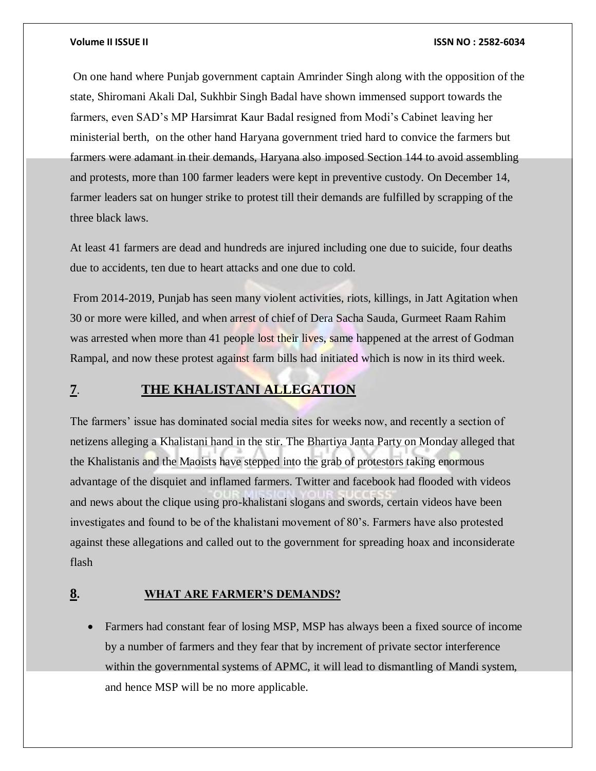### **Volume II ISSUE II ISSN NO : 2582-6034**

On one hand where Punjab government captain Amrinder Singh along with the opposition of the state, Shiromani Akali Dal, Sukhbir Singh Badal have shown immensed support towards the farmers, even SAD's MP Harsimrat Kaur Badal resigned from Modi's Cabinet leaving her ministerial berth, on the other hand Haryana government tried hard to convice the farmers but farmers were adamant in their demands, Haryana also imposed Section 144 to avoid assembling and protests, more than 100 farmer leaders were kept in preventive custody. On December 14, farmer leaders sat on hunger strike to protest till their demands are fulfilled by scrapping of the three black laws.

At least 41 farmers are dead and hundreds are injured including one due to suicide, four deaths due to accidents, ten due to heart attacks and one due to cold.

From 2014-2019, Punjab has seen many violent activities, riots, killings, in Jatt Agitation when 30 or more were killed, and when arrest of chief of Dera Sacha Sauda, Gurmeet Raam Rahim was arrested when more than 41 people lost their lives, same happened at the arrest of Godman Rampal, and now these protest against farm bills had initiated which is now in its third week.

# **7**. **THE KHALISTANI ALLEGATION**

The farmers' issue has dominated social media sites for weeks now, and recently a section of netizens alleging a Khalistani hand in the stir. The Bhartiya Janta Party on Monday alleged that the Khalistanis and the Maoists have stepped into the grab of protestors taking enormous advantage of the disquiet and inflamed farmers. Twitter and facebook had flooded with videos and news about the clique using pro-khalistani slogans and swords, certain videos have been investigates and found to be of the khalistani movement of 80's. Farmers have also protested against these allegations and called out to the government for spreading hoax and inconsiderate flash

# **8. WHAT ARE FARMER'S DEMANDS?**

 Farmers had constant fear of losing MSP, MSP has always been a fixed source of income by a number of farmers and they fear that by increment of private sector interference within the governmental systems of APMC, it will lead to dismantling of Mandi system, and hence MSP will be no more applicable.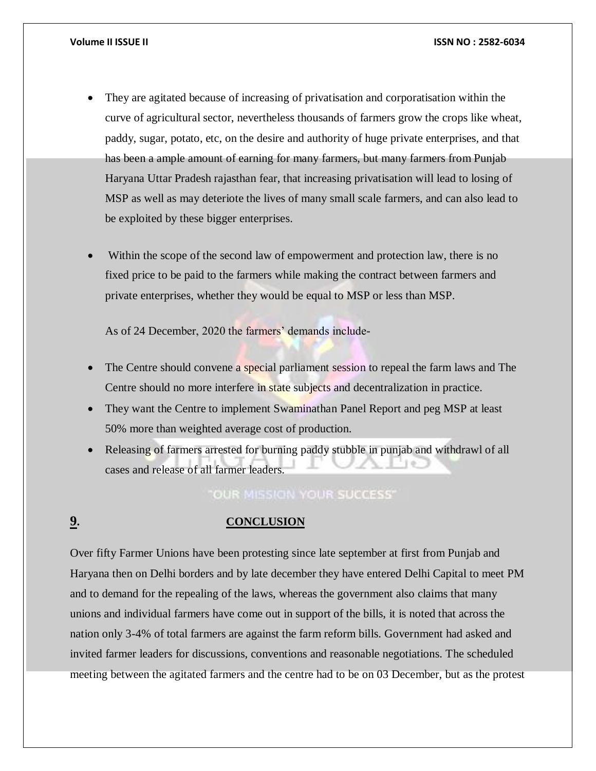- They are agitated because of increasing of privatisation and corporatisation within the curve of agricultural sector, nevertheless thousands of farmers grow the crops like wheat, paddy, sugar, potato, etc, on the desire and authority of huge private enterprises, and that has been a ample amount of earning for many farmers, but many farmers from Punjab Haryana Uttar Pradesh rajasthan fear, that increasing privatisation will lead to losing of MSP as well as may deteriote the lives of many small scale farmers, and can also lead to be exploited by these bigger enterprises.
- Within the scope of the second law of empowerment and protection law, there is no fixed price to be paid to the farmers while making the contract between farmers and private enterprises, whether they would be equal to MSP or less than MSP.

As of 24 December, 2020 the farmers' demands include-

- The Centre should convene a special parliament session to repeal the farm laws and The Centre should no more interfere in state subjects and decentralization in practice.
- They want the Centre to implement Swaminathan Panel Report and peg MSP at least 50% more than weighted average cost of production.
- Releasing of farmers arrested for burning paddy stubble in punjab and withdrawl of all cases and release of all farmer leaders.

**OUR MISSION YOUR SUCCESS'** 

# **9. CONCLUSION**

Over fifty Farmer Unions have been protesting since late september at first from Punjab and Haryana then on Delhi borders and by late december they have entered Delhi Capital to meet PM and to demand for the repealing of the laws, whereas the government also claims that many unions and individual farmers have come out in support of the bills, it is noted that across the nation only 3-4% of total farmers are against the farm reform bills. Government had asked and invited farmer leaders for discussions, conventions and reasonable negotiations. The scheduled meeting between the agitated farmers and the centre had to be on 03 December, but as the protest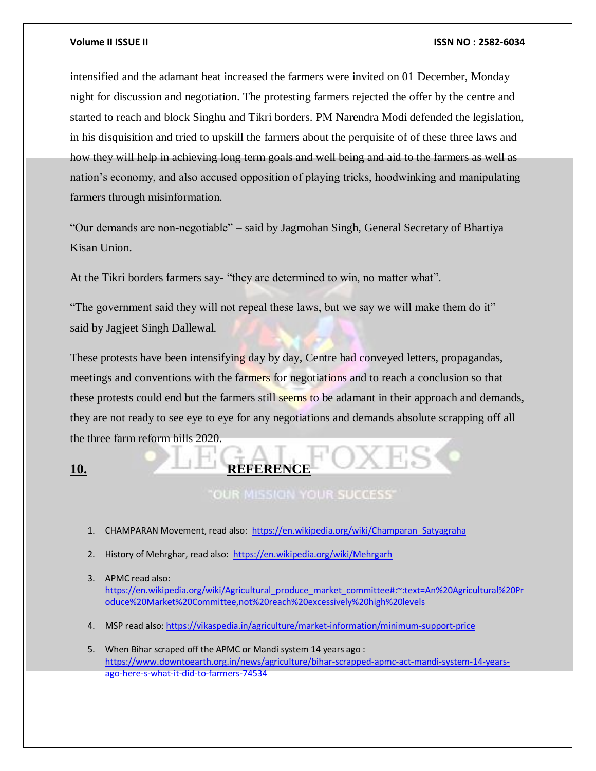### **Volume II ISSUE II ISSN NO : 2582-6034**

intensified and the adamant heat increased the farmers were invited on 01 December, Monday night for discussion and negotiation. The protesting farmers rejected the offer by the centre and started to reach and block Singhu and Tikri borders. PM Narendra Modi defended the legislation, in his disquisition and tried to upskill the farmers about the perquisite of of these three laws and how they will help in achieving long term goals and well being and aid to the farmers as well as nation's economy, and also accused opposition of playing tricks, hoodwinking and manipulating farmers through misinformation.

"Our demands are non-negotiable" – said by Jagmohan Singh, General Secretary of Bhartiya Kisan Union.

At the Tikri borders farmers say- "they are determined to win, no matter what".

"The government said they will not repeal these laws, but we say we will make them do it" – said by Jagjeet Singh Dallewal.

These protests have been intensifying day by day, Centre had conveyed letters, propagandas, meetings and conventions with the farmers for negotiations and to reach a conclusion so that these protests could end but the farmers still seems to be adamant in their approach and demands, they are not ready to see eye to eye for any negotiations and demands absolute scrapping off all the three farm reform bills 2020.

# **10. REFERENCE**

OUR MISSION YOUR SUCCESS'

- 1. CHAMPARAN Movement, read also: [https://en.wikipedia.org/wiki/Champaran\\_Satyagraha](https://en.wikipedia.org/wiki/Champaran_Satyagraha)
- 2. History of Mehrghar, read also:<https://en.wikipedia.org/wiki/Mehrgarh>
- 3. APMC read also: [https://en.wikipedia.org/wiki/Agricultural\\_produce\\_market\\_committee#:~:text=An%20Agricultural%20Pr](https://en.wikipedia.org/wiki/Agricultural_produce_market_committee#:~:text=An%20Agricultural%20Produce%20Market%20Committee,not%20reach%20excessively%20high%20levels) [oduce%20Market%20Committee,not%20reach%20excessively%20high%20levels](https://en.wikipedia.org/wiki/Agricultural_produce_market_committee#:~:text=An%20Agricultural%20Produce%20Market%20Committee,not%20reach%20excessively%20high%20levels)
- 4. MSP read also[: https://vikaspedia.in/agriculture/market-information/minimum-support-price](https://vikaspedia.in/agriculture/market-information/minimum-support-price)
- 5. When Bihar scraped off the APMC or Mandi system 14 years ago : [https://www.downtoearth.org.in/news/agriculture/bihar-scrapped-apmc-act-mandi-system-14-years](https://www.downtoearth.org.in/news/agriculture/bihar-scrapped-apmc-act-mandi-system-14-years-ago-here-s-what-it-did-to-farmers-74534)[ago-here-s-what-it-did-to-farmers-74534](https://www.downtoearth.org.in/news/agriculture/bihar-scrapped-apmc-act-mandi-system-14-years-ago-here-s-what-it-did-to-farmers-74534)